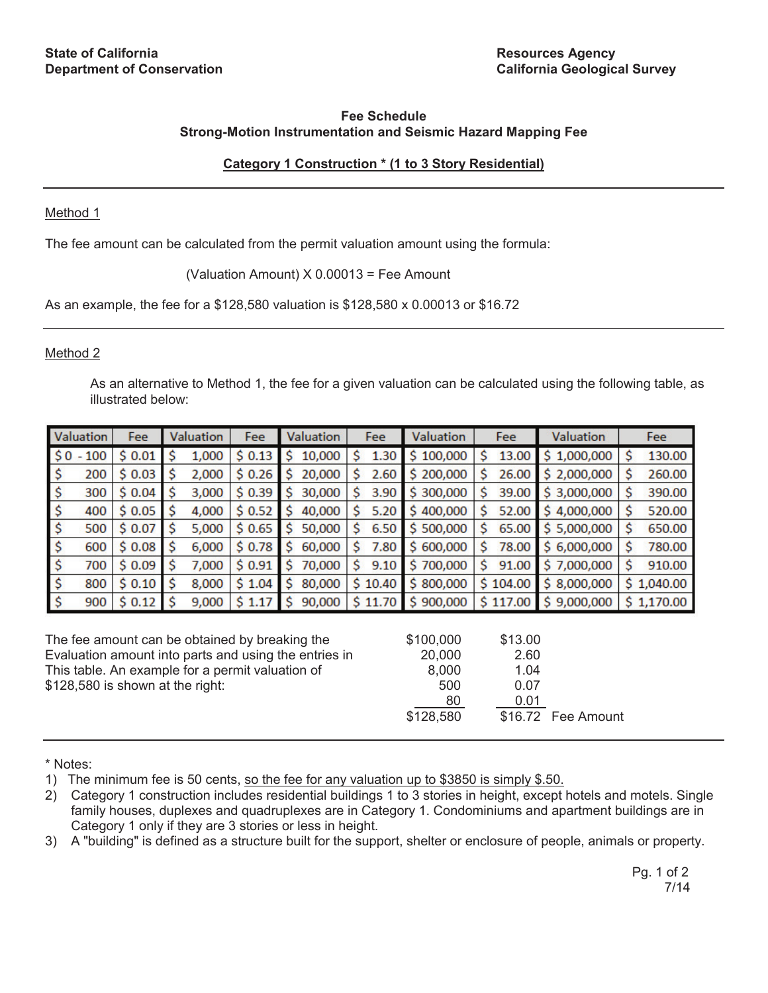# **Fee Schedule Strong-Motion Instrumentation and Seismic Hazard Mapping Fee**

# **Category 1 Construction \* (1 to 3 Story Residential)**

## Method 1

The fee amount can be calculated from the permit valuation amount using the formula:

(Valuation Amount) X 0.00013 = Fee Amount

As an example, the fee for a \$128,580 valuation is \$128,580 x 0.00013 or \$16.72

## Method 2

As an alternative to Method 1, the fee for a given valuation can be calculated using the following table, as illustrated below:

| Valuation                                             | Fee    | Valuation   | Fee    | Valuation     | Fee        | Valuation | Fee         | <b>Valuation</b> | Fee          |
|-------------------------------------------------------|--------|-------------|--------|---------------|------------|-----------|-------------|------------------|--------------|
| $$0 - 100$                                            | \$0.01 | \$<br>1,000 | \$0.13 | 10,000<br>\$  | S<br>1.30  | \$100,000 | \$<br>13.00 | \$1,000,000      | Ś<br>130.00  |
| 200<br>Ş                                              | \$0.03 | Ś<br>2,000  | \$0.26 | 20,000<br>s   | S<br>2.60  | \$200,000 | Ś<br>26.00  | 2,000,000<br>s   | 260.00<br>s  |
| \$<br>300                                             | \$0.04 | Ś<br>3,000  | \$0.39 | Ś.<br>30,000  | Ś<br>3.90  | \$300,000 | \$<br>39.00 | \$3,000,000      | Ś<br>390.00  |
| \$<br>400                                             | \$0.05 | 4,000       | \$0.52 | 40,000<br>s   | Ś<br>5.20  | \$400,000 | Ś<br>52.00  | \$4,000,000      | 520.00<br>Ś  |
| \$<br>500                                             | \$0.07 | Ś<br>5,000  | \$0.65 | \$.<br>50,000 | Ś<br>6.50  | \$500,000 | Ś<br>65.00  | \$5,000,000      | Ś<br>650.00  |
| \$<br>600                                             | \$0.08 | \$<br>6,000 | \$0.78 | Ś.<br>60,000  | Ś<br>7.80  | \$600,000 | \$<br>78.00 | \$6,000,000      | Ś.<br>780.00 |
| \$<br>700                                             | \$0.09 | Ś<br>7,000  | \$0.91 | 70,000<br>S.  | Ś.<br>9.10 | \$700,000 | \$<br>91.00 | \$7,000,000      | Ś.<br>910.00 |
| \$<br>800                                             | \$0.10 | Ś<br>8,000  | \$1.04 | Ś<br>80,000   | \$10.40    | \$800,000 | \$104.00    | \$8,000,000      | \$1,040.00   |
| $\ddot{\varsigma}$<br>900                             | \$0.12 | -Ś<br>9,000 | \$1.17 | Ś<br>90,000   | \$11.70    | \$900,000 | \$117.00    | \$9,000,000      | \$1,170.00   |
|                                                       |        |             |        |               |            |           |             |                  |              |
| The fee amount can be obtained by breaking the        |        |             |        |               |            | \$100,000 | \$13.00     |                  |              |
| Evaluation amount into parts and using the entries in |        |             |        |               |            | 20,000    | 2.60        |                  |              |
| This table. An example for a permit valuation of      |        |             |        |               |            | 8,000     | 1.04        |                  |              |
| \$128,580 is shown at the right:                      |        |             |        |               |            | 500       | 0.07        |                  |              |
|                                                       |        |             |        |               |            | 80        | 0.01        |                  |              |
|                                                       |        |             |        |               |            | \$128,580 | \$16.72     | Fee Amount       |              |

\* Notes:

1) The minimum fee is 50 cents, so the fee for any valuation up to \$3850 is simply \$.50.

<sup>2)</sup> Category 1 construction includes residential buildings 1 to 3 stories in height, except hotels and motels. Single family houses, duplexes and quadruplexes are in Category 1. Condominiums and apartment buildings are in Category 1 only if they are 3 stories or less in height.

<sup>3)</sup> A "building" is defined as a structure built for the support, shelter or enclosure of people, animals or property.